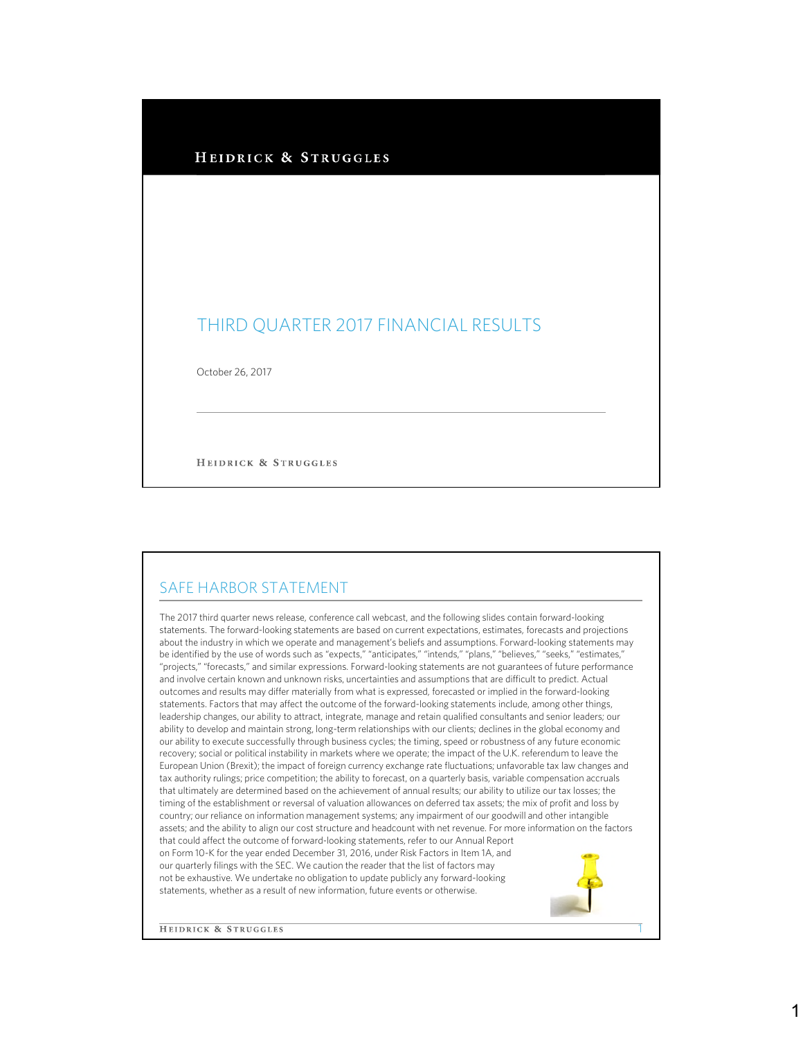#### HEIDRICK & STRUGGLES

# THIRD QUARTER 2017 FINANCIAL RESULTS

October 26, 2017

HEIDRICK & STRUGGLES

#### SAFE HARBOR STATEMENT

The 2017 third quarter news release, conference call webcast, and the following slides contain forward-looking statements. The forward-looking statements are based on current expectations, estimates, forecasts and projections about the industry in which we operate and management's beliefs and assumptions. Forward-looking statements may be identified by the use of words such as "expects," "anticipates," "intends," "plans," "believes," "seeks," "estimates," "projects," "forecasts," and similar expressions. Forward-looking statements are not guarantees of future performance and involve certain known and unknown risks, uncertainties and assumptions that are difficult to predict. Actual outcomes and results may differ materially from what is expressed, forecasted or implied in the forward-looking statements. Factors that may affect the outcome of the forward-looking statements include, among other things, leadership changes, our ability to attract, integrate, manage and retain qualified consultants and senior leaders; our ability to develop and maintain strong, long-term relationships with our clients; declines in the global economy and our ability to execute successfully through business cycles; the timing, speed or robustness of any future economic recovery; social or political instability in markets where we operate; the impact of the U.K. referendum to leave the European Union (Brexit); the impact of foreign currency exchange rate fluctuations; unfavorable tax law changes and tax authority rulings; price competition; the ability to forecast, on a quarterly basis, variable compensation accruals that ultimately are determined based on the achievement of annual results; our ability to utilize our tax losses; the timing of the establishment or reversal of valuation allowances on deferred tax assets; the mix of profit and loss by country; our reliance on information management systems; any impairment of our goodwill and other intangible assets; and the ability to align our cost structure and headcount with net revenue. For more information on the factors that could affect the outcome of forward-looking statements, refer to our Annual Report on Form 10-K for the year ended December 31, 2016, under Risk Factors in Item 1A, and our quarterly filings with the SEC. We caution the reader that the list of factors may not be exhaustive. We undertake no obligation to update publicly any forward-looking statements, whether as a result of new information, future events or otherwise.

**HEIDRICK & STRUGGLES** 

1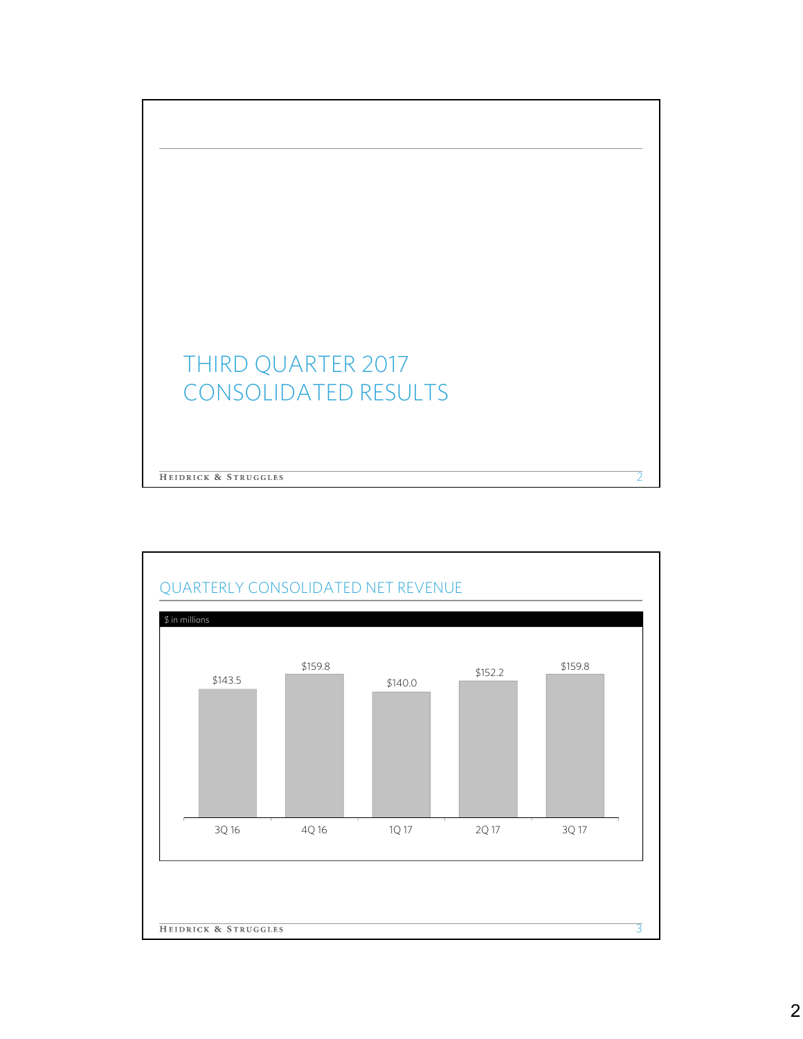

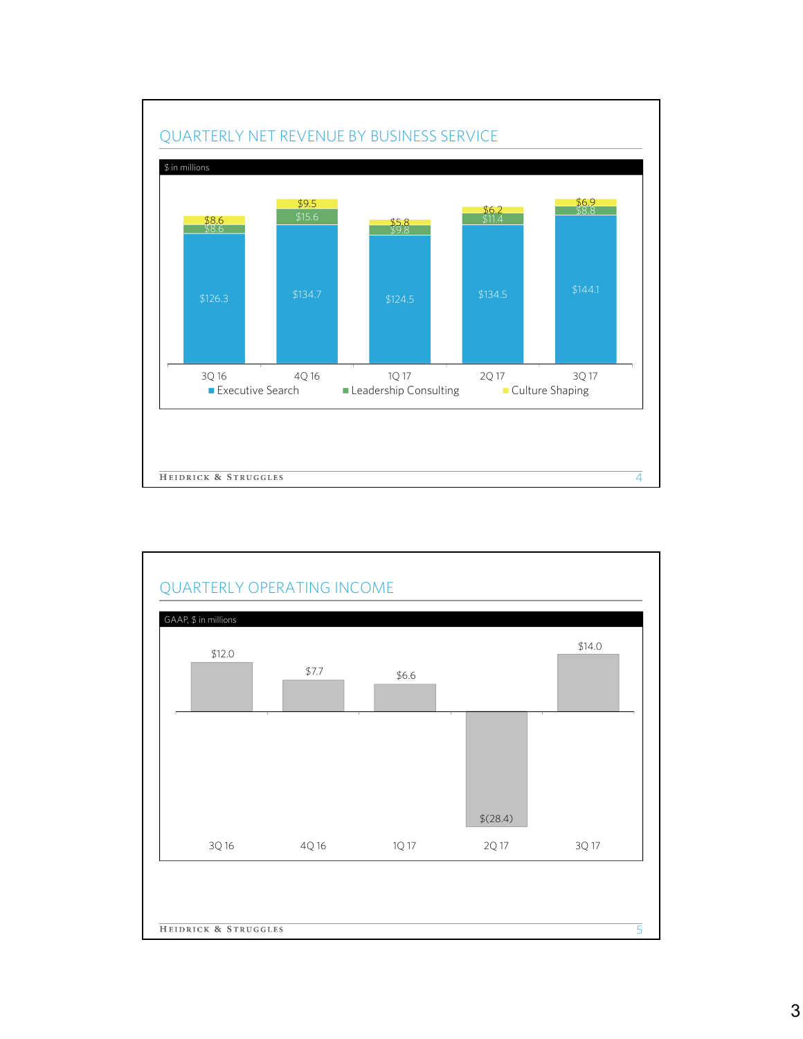

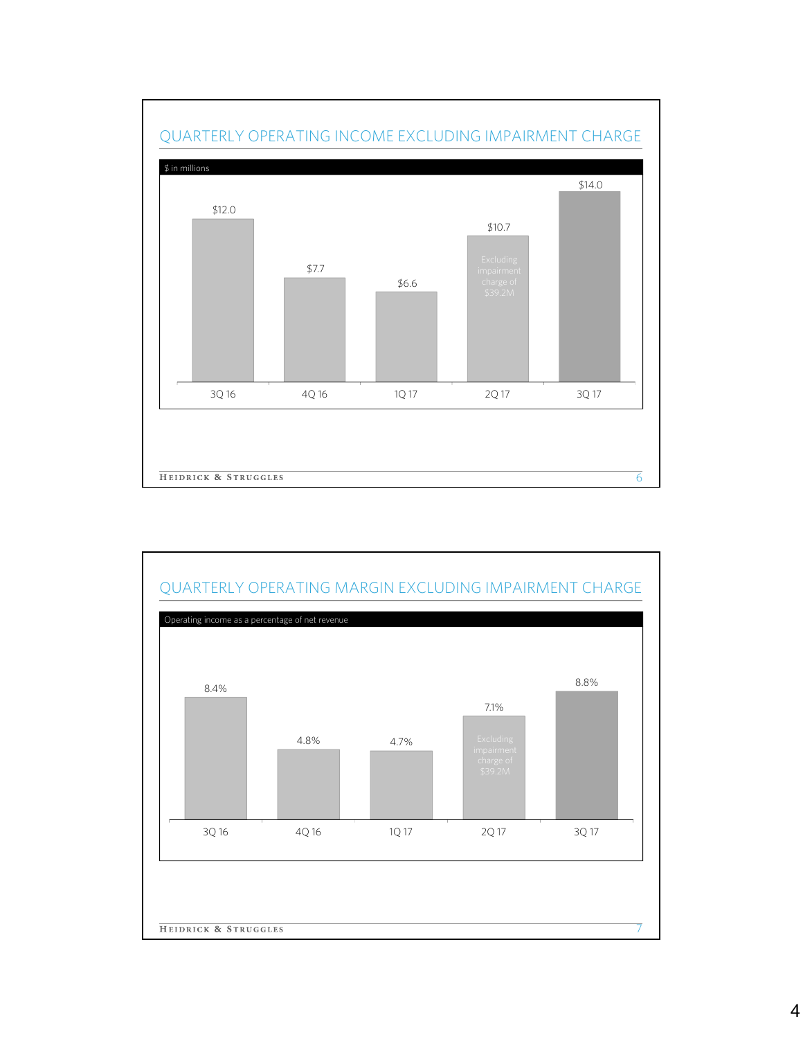

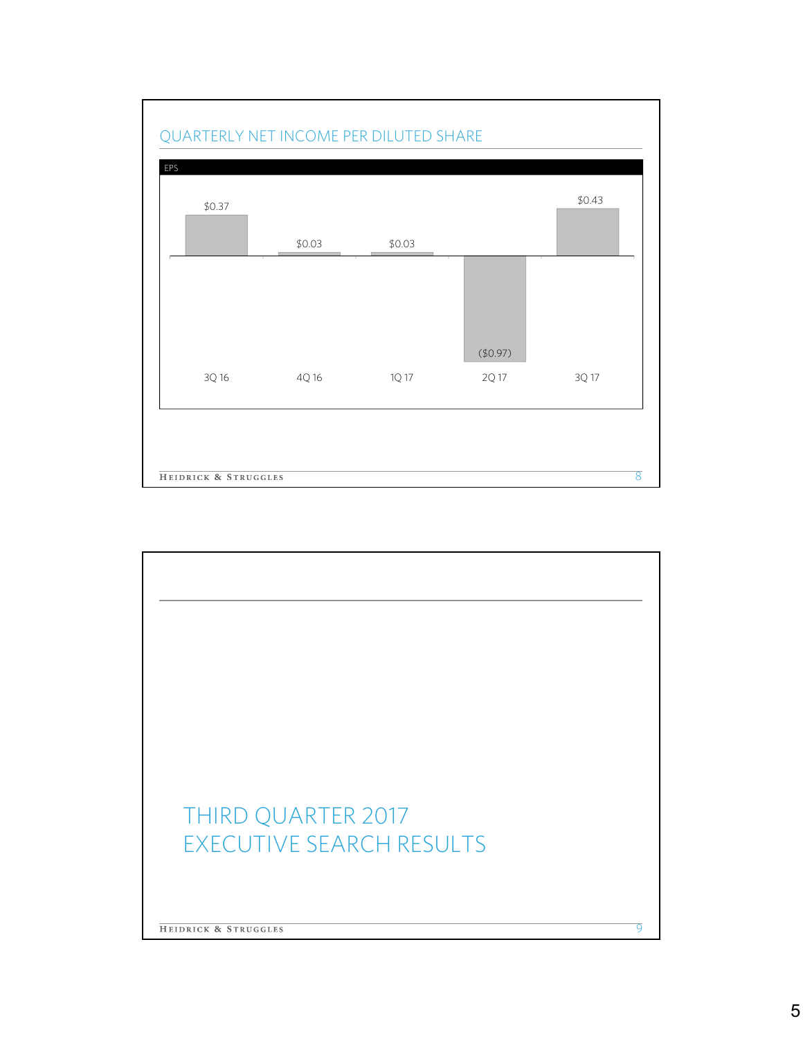

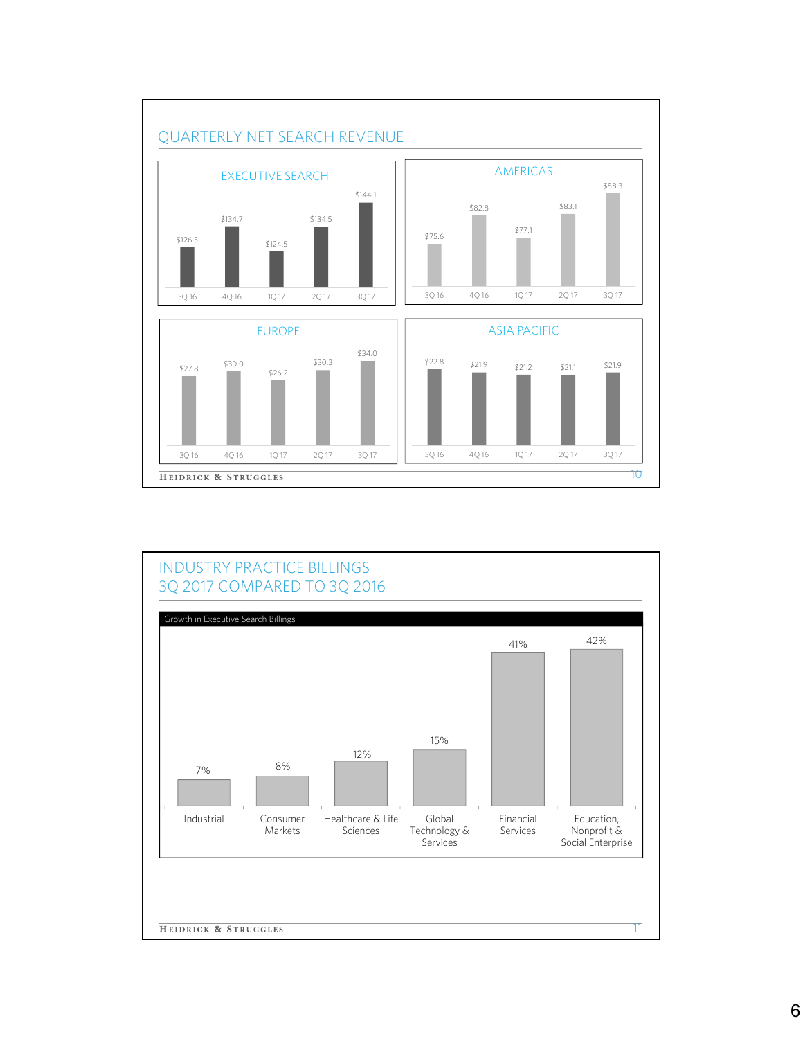

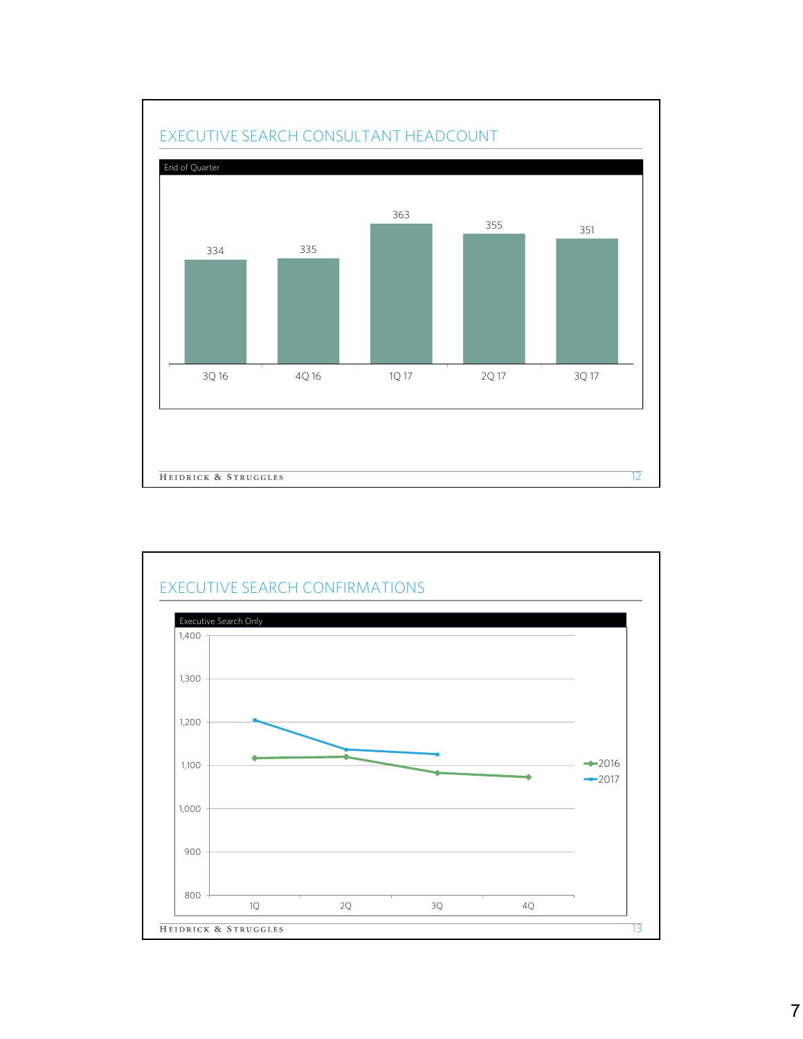

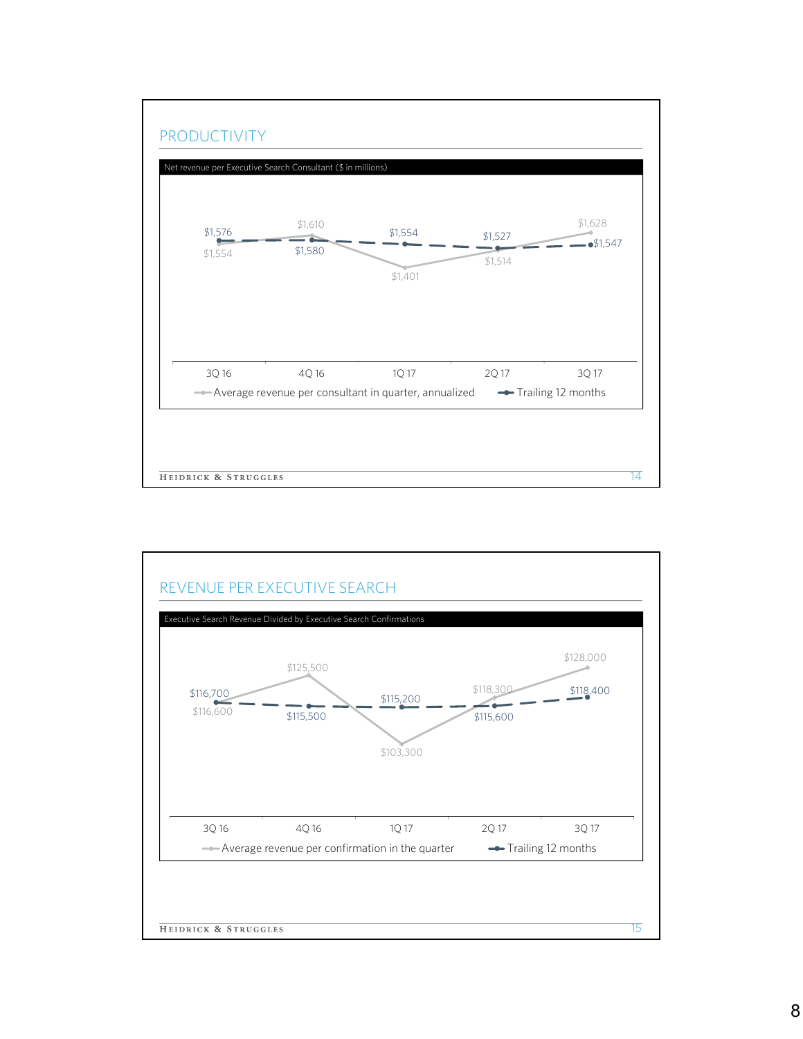

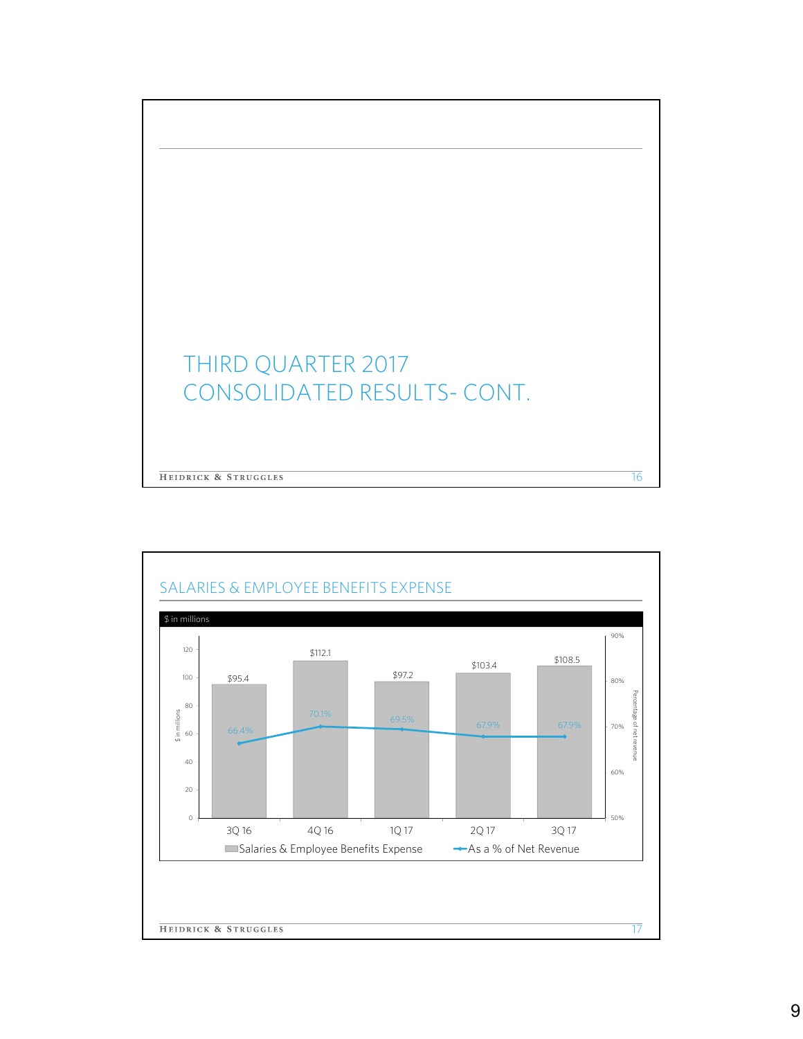

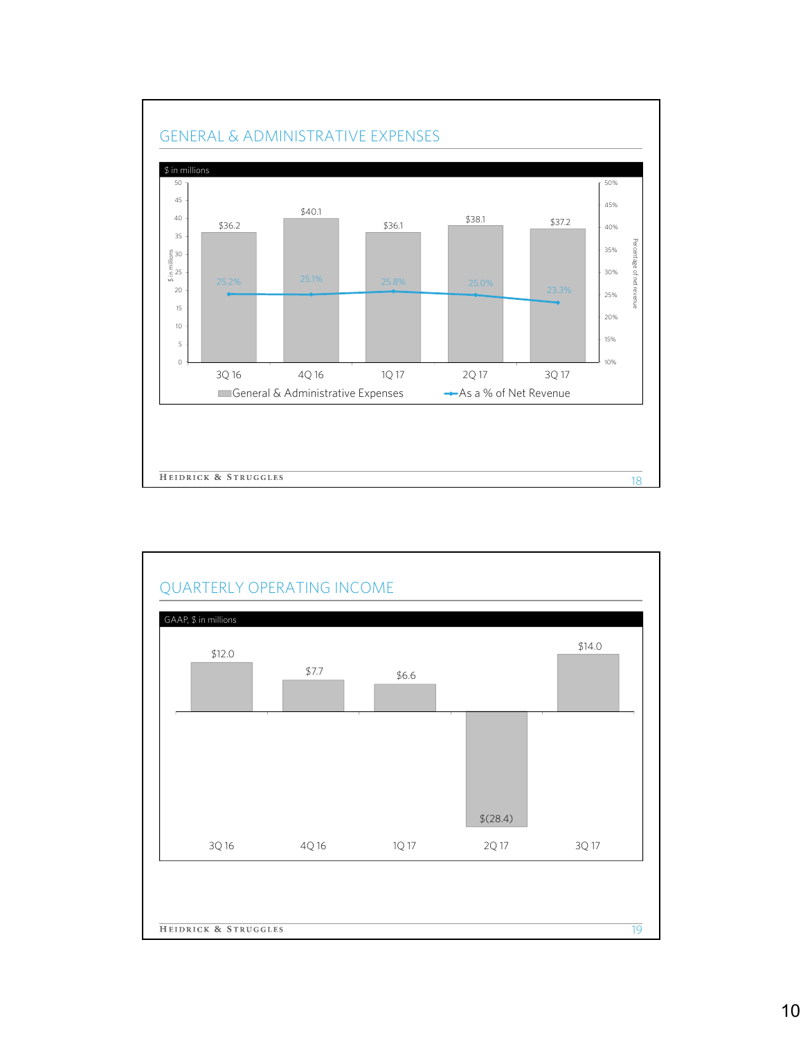

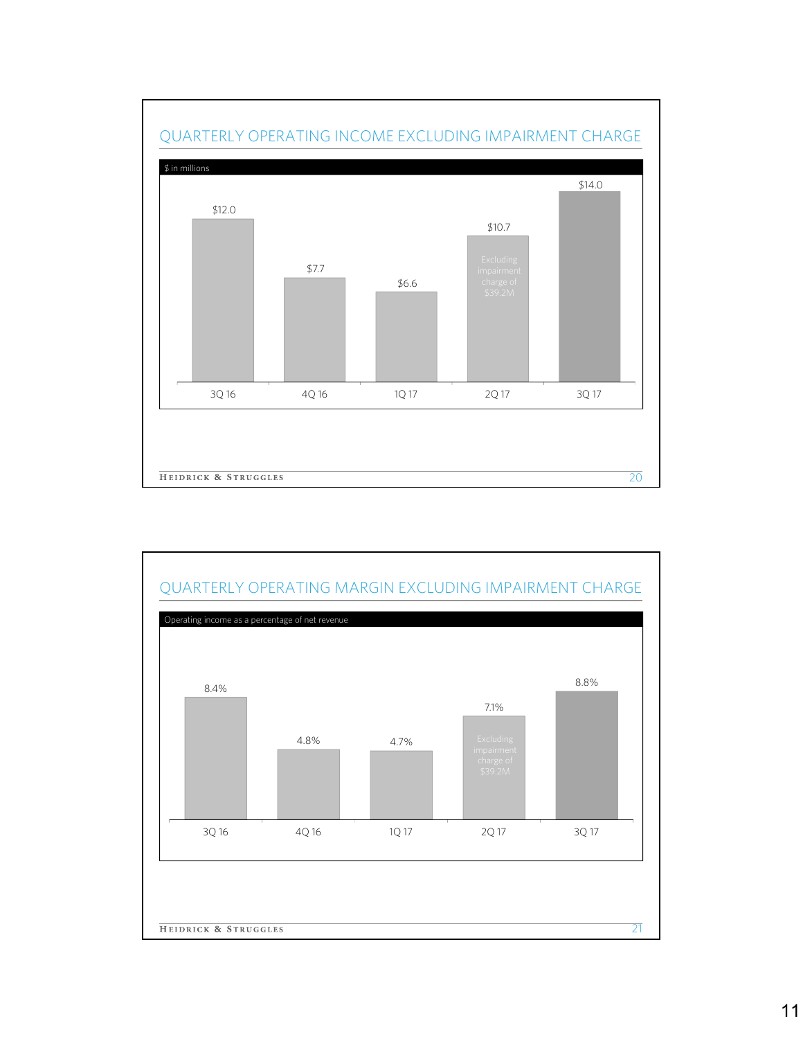

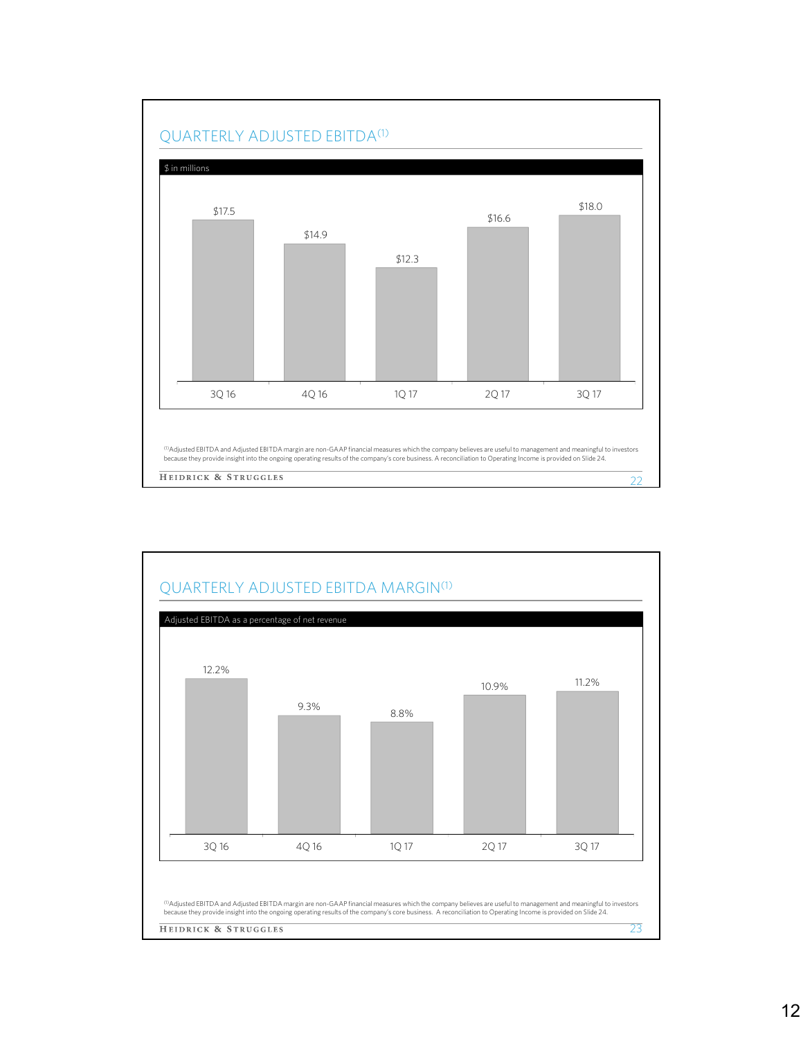

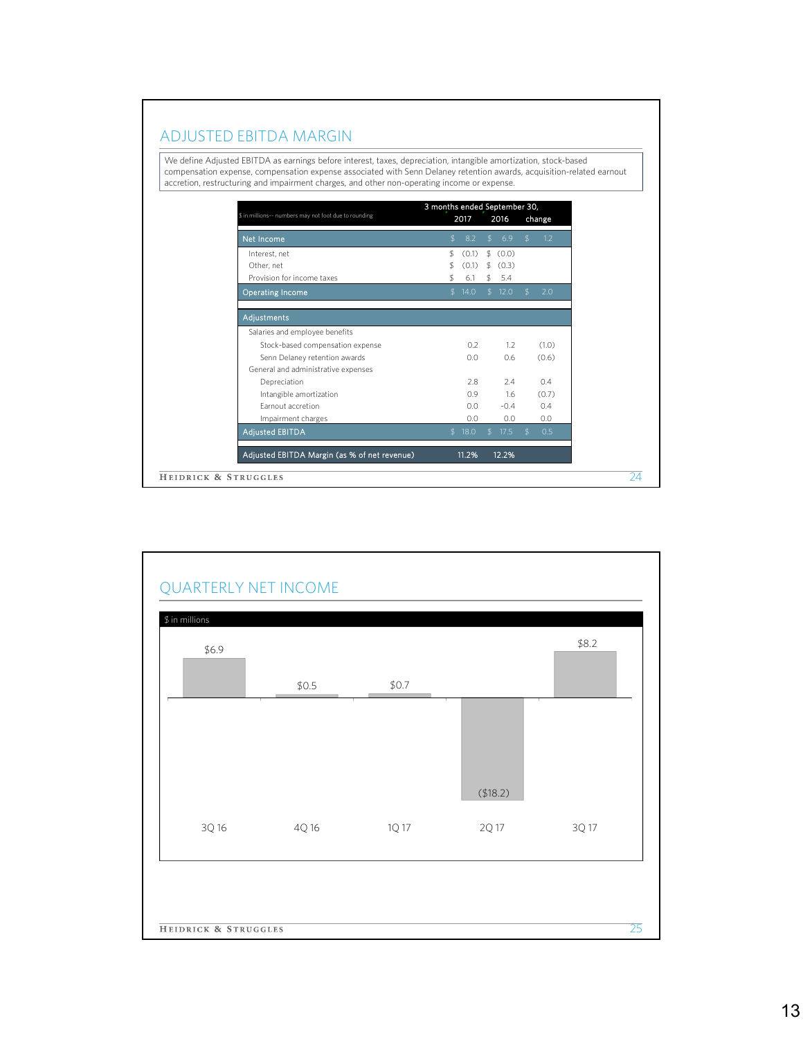## ADJUSTED EBITDA MARGIN

We define Adjusted EBITDA as earnings before interest, taxes, depreciation, intangible amortization, stock-based compensation expense, compensation expense associated with Senn Delaney retention awards, acquisition-related earnout accretion, restructuring and impairment charges, and other non-operating income or expense.

| \$ in millions-- numbers may not foot due to rounding |    | 3 months ended September 30,<br>2017<br>2016 |               |          |                |               |
|-------------------------------------------------------|----|----------------------------------------------|---------------|----------|----------------|---------------|
| Net Income                                            | S  | 8.2                                          | $\mathcal{L}$ | 6.9      | $\mathcal{L}$  | change<br>1.2 |
| Interest, net                                         | \$ | (0.1)                                        |               | \$ (0.0) |                |               |
| Other, net                                            | \$ | (0.1)                                        | \$            | (0.3)    |                |               |
| Provision for income taxes                            | \$ | 6.1                                          |               | \$5.4    |                |               |
| <b>Operating Income</b>                               |    | \$14.0                                       |               | \$12.0   | \$             | 2.0           |
| Adjustments                                           |    |                                              |               |          |                |               |
| Salaries and employee benefits                        |    |                                              |               |          |                |               |
| Stock-based compensation expense                      |    | 0.2                                          |               | 1.2      |                | (1.0)         |
| Senn Delaney retention awards                         |    | 0.0                                          |               | 0.6      |                | (0.6)         |
| General and administrative expenses                   |    |                                              |               |          |                |               |
| Depreciation                                          |    | 2.8                                          |               | 2.4      |                | 0.4           |
| Intangible amortization                               |    | 0.9                                          |               | 1.6      |                | (0.7)         |
| Earnout accretion                                     |    | 0.0                                          |               | $-0.4$   |                | 0.4           |
| Impairment charges                                    |    | 0.0                                          |               | 0.0      |                | 0.0           |
| <b>Adjusted EBITDA</b>                                |    | \$18.0                                       | $\mathcal{L}$ | 17.5     | $\mathfrak{L}$ | 0.5           |
| Adjusted EBITDA Margin (as % of net revenue)          |    | 11.2%                                        |               | 12.2%    |                |               |
| HEIDRICK & STRUGGLES                                  |    |                                              |               |          |                |               |

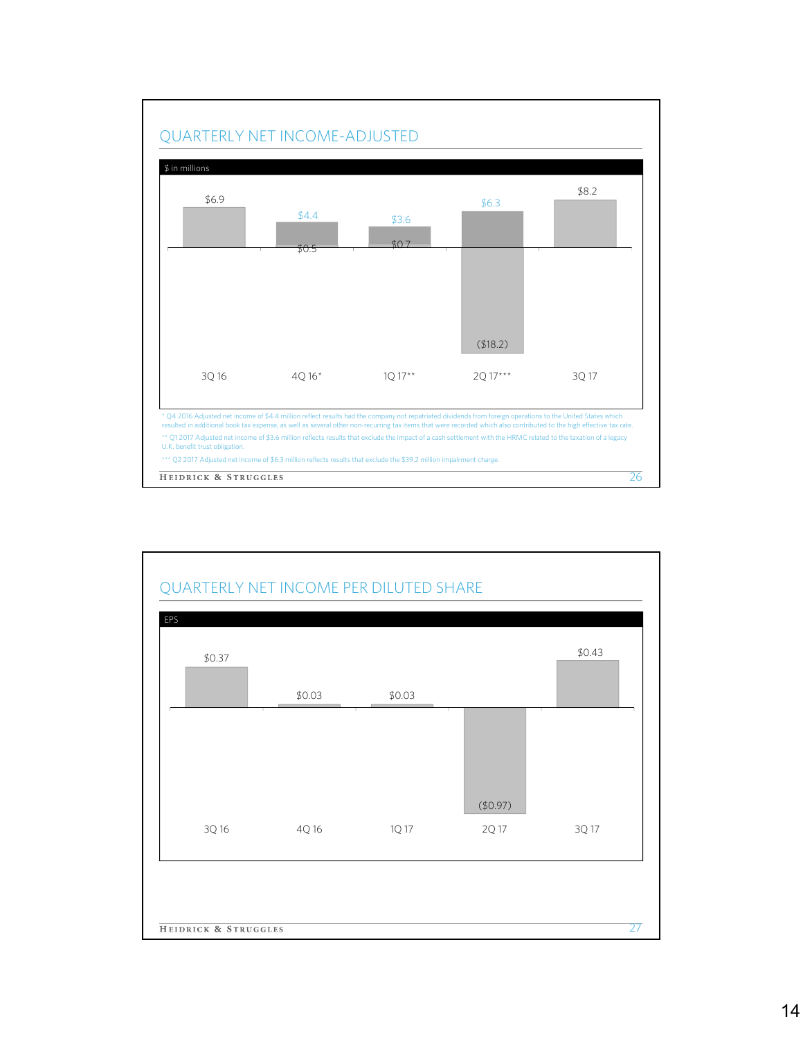

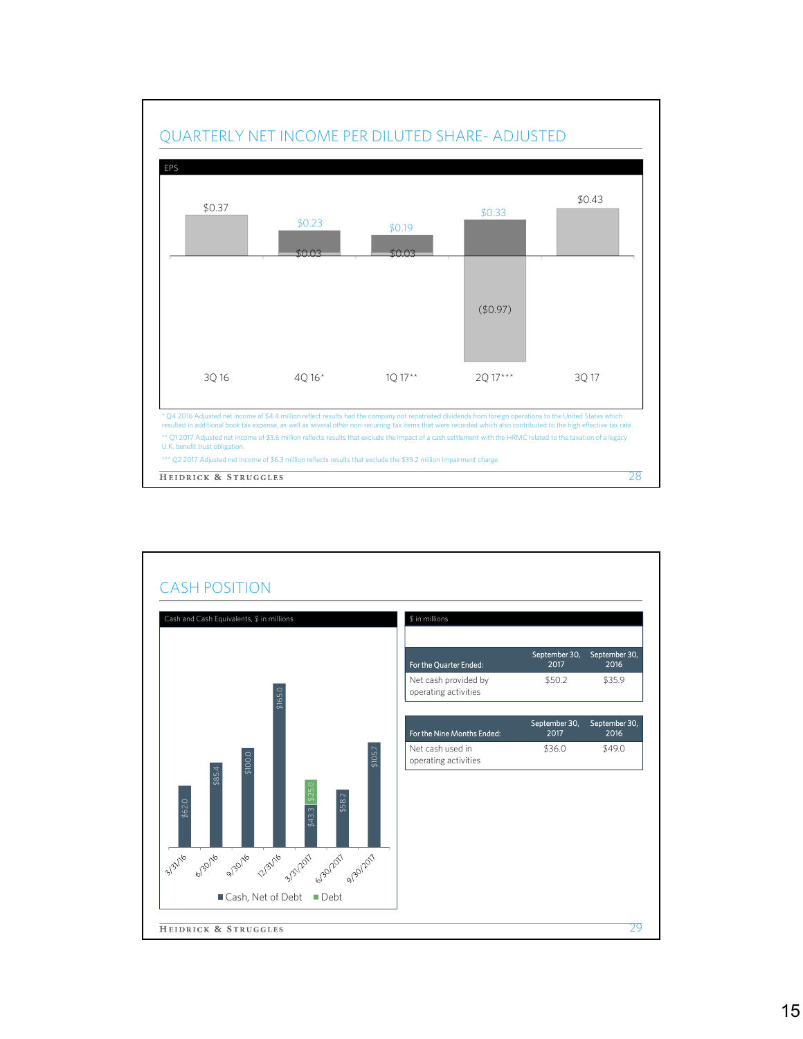

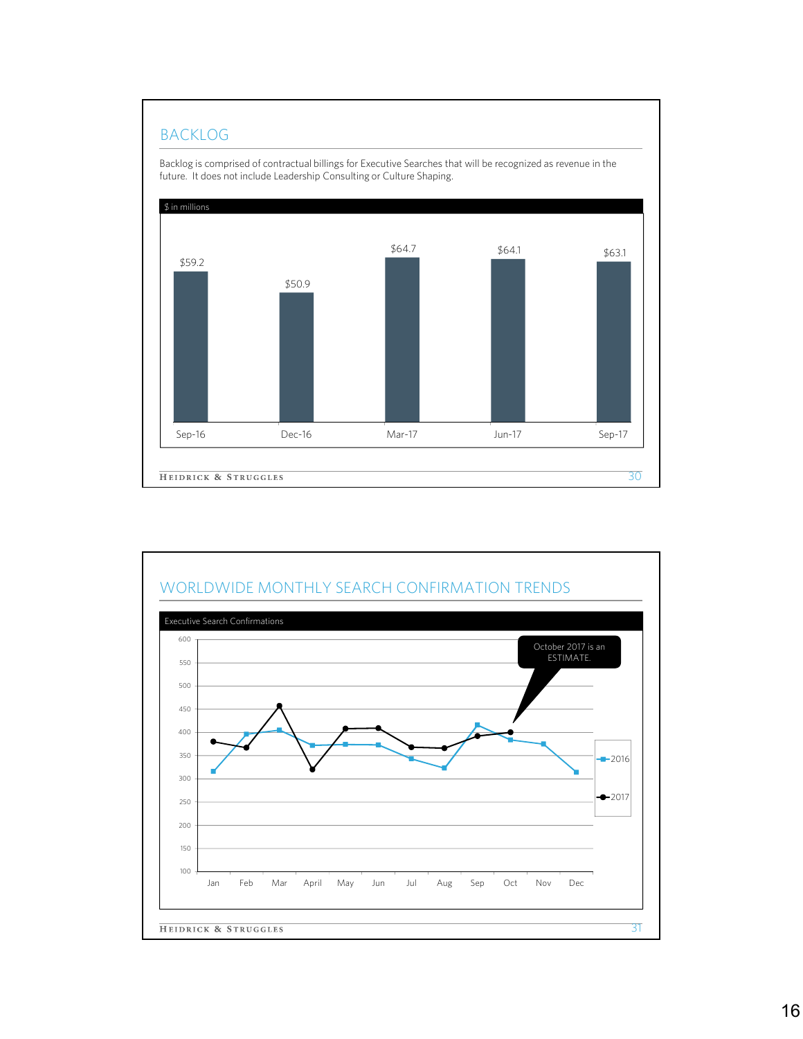## BACKLOG



WORLDWIDE MONTHLY SEARCH CONFIRMATION TRENDS Executive Search Confirmations600 October 2017 is an ESTIMATE. 550 500 450 400 350  $-2016$ 300  $-2017$ 250 200 150 100 Jan Feb Mar April May Jun Jul Aug Sep Oct Nov Dec **HEIDRICK & STRUGGLES** 31

## 16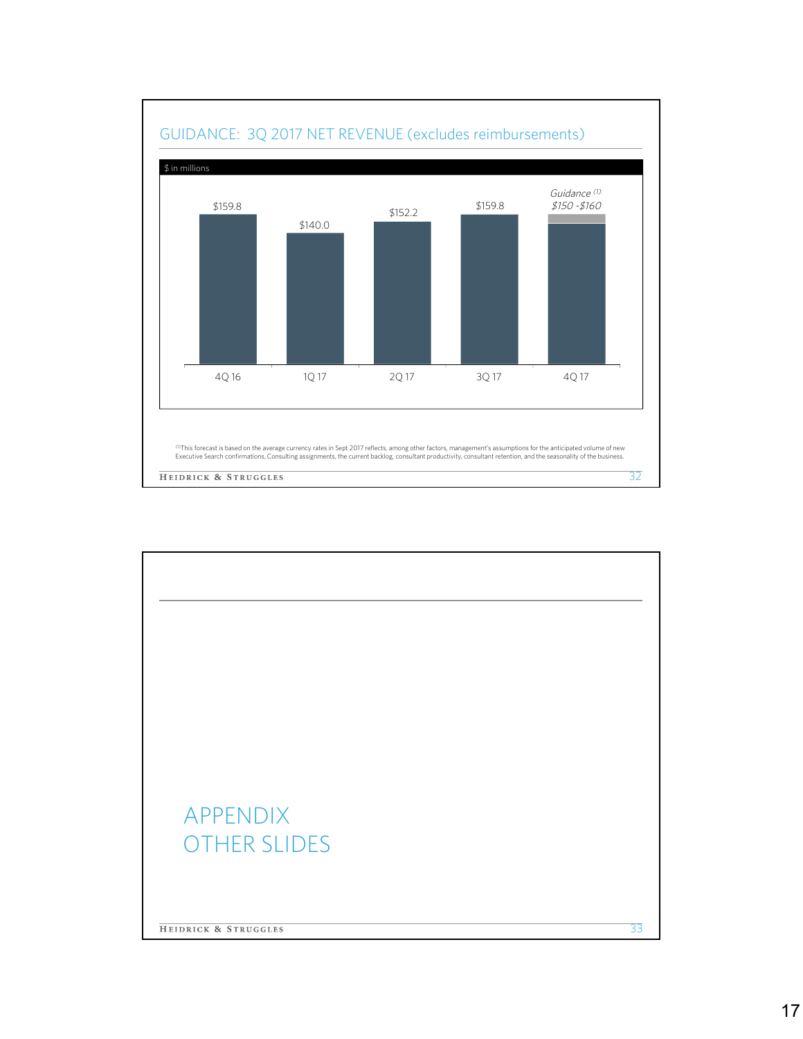

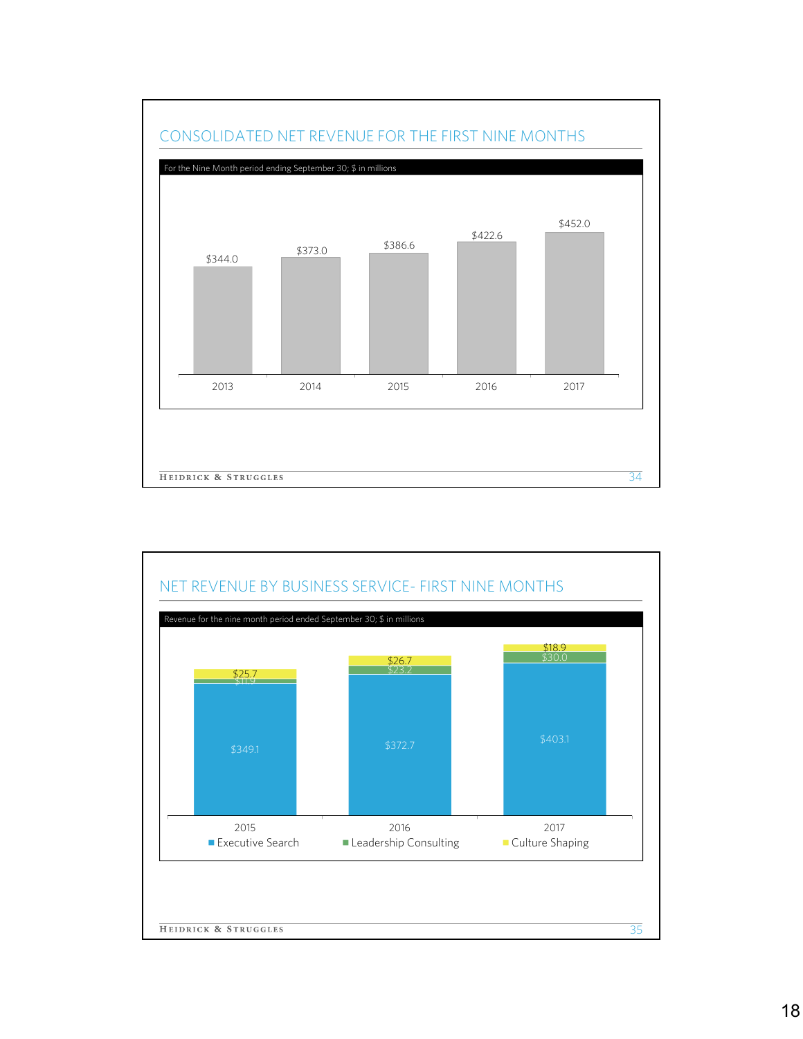

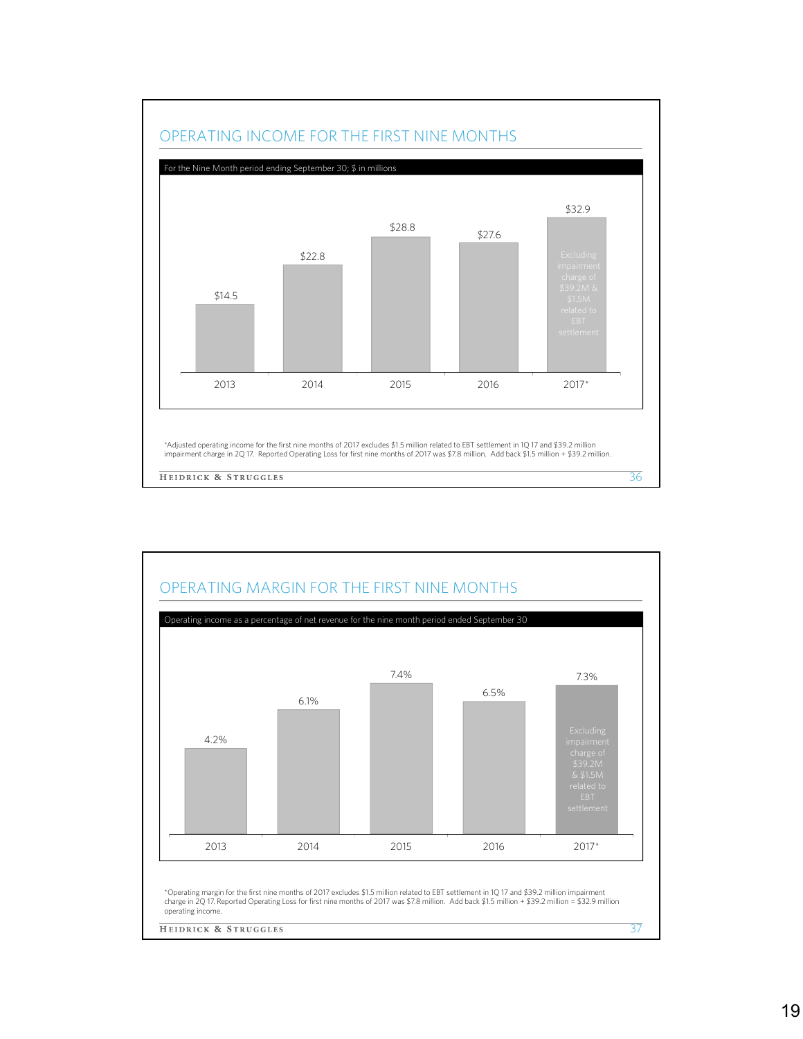

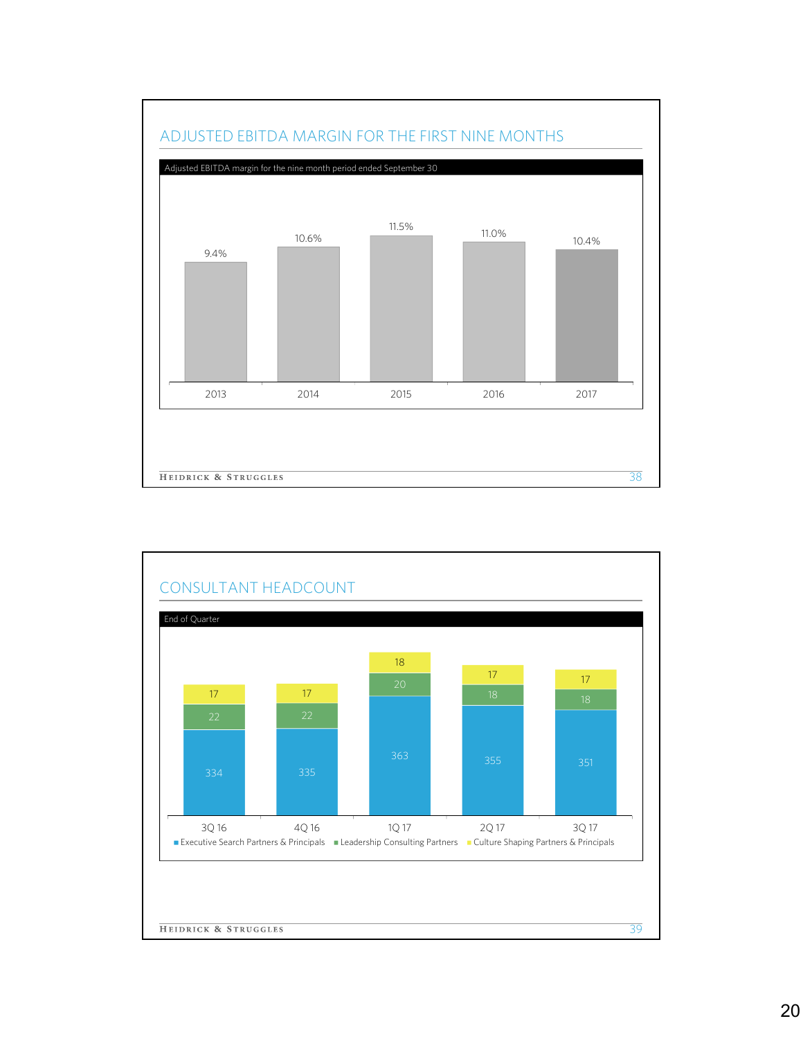

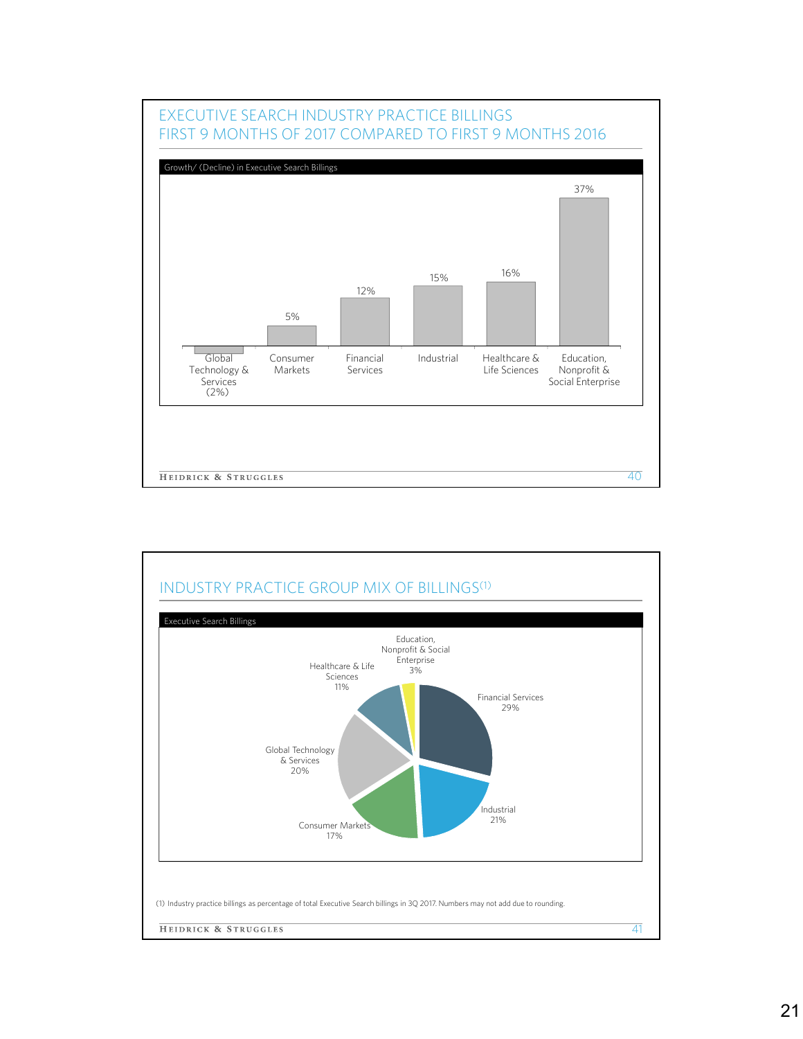

# INDUSTRY PRACTICE GROUP MIX OF BILLINGS<sup>(1)</sup> Executive Search BillingsEducation, Nonprofit & Social Enterprise Healthcare & Life 3% Sciences 11% Financial Services 29% Global Technology & Services 20% Industrial Consumer Markets 17% (1) Industry practice billings as percentage of total Executive Search billings in 3Q 2017. Numbers may not add due to rounding. **HEIDRICK & STRUGGLES** 41